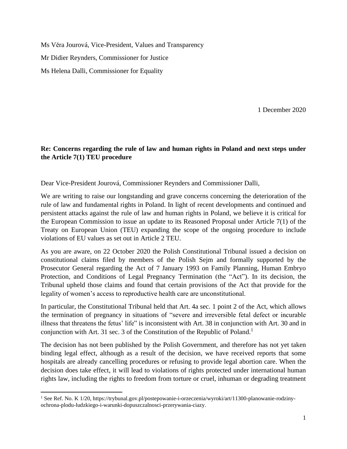Ms Věra Jourová, Vice-President, Values and Transparency Mr Didier Reynders, Commissioner for Justice Ms Helena Dalli, Commissioner for Equality

1 December 2020

## **Re: Concerns regarding the rule of law and human rights in Poland and next steps under the Article 7(1) TEU procedure**

Dear Vice-President Jourová, Commissioner Reynders and Commissioner Dalli,

We are writing to raise our longstanding and grave concerns concerning the deterioration of the rule of law and fundamental rights in Poland. In light of recent developments and continued and persistent attacks against the rule of law and human rights in Poland, we believe it is critical for the European Commission to issue an update to its Reasoned Proposal under Article 7(1) of the Treaty on European Union (TEU) expanding the scope of the ongoing procedure to include violations of EU values as set out in Article 2 TEU.

As you are aware, on 22 October 2020 the Polish Constitutional Tribunal issued a decision on constitutional claims filed by members of the Polish Sejm and formally supported by the Prosecutor General regarding the Act of 7 January 1993 on Family Planning, Human Embryo Protection, and Conditions of Legal Pregnancy Termination (the "Act"). In its decision, the Tribunal upheld those claims and found that certain provisions of the Act that provide for the legality of women's access to reproductive health care are unconstitutional.

In particular, the Constitutional Tribunal held that Art. 4a sec. 1 point 2 of the Act, which allows the termination of pregnancy in situations of "severe and irreversible fetal defect or incurable illness that threatens the fetus' life" is inconsistent with Art. 38 in conjunction with Art. 30 and in conjunction with Art. 31 sec. 3 of the Constitution of the Republic of Poland.<sup>1</sup>

The decision has not been published by the Polish Government, and therefore has not yet taken binding legal effect, although as a result of the decision, we have received reports that some hospitals are already cancelling procedures or refusing to provide legal abortion care. When the decision does take effect, it will lead to violations of rights protected under international human rights law, including the rights to freedom from torture or cruel, inhuman or degrading treatment

<sup>1</sup> See Ref. No. K 1/20, https://trybunal.gov.pl/postepowanie-i-orzeczenia/wyroki/art/11300-planowanie-rodzinyochrona-plodu-ludzkiego-i-warunki-dopuszczalnosci-przerywania-ciazy.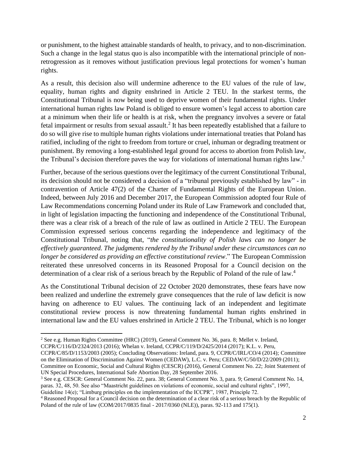or punishment, to the highest attainable standards of health, to privacy, and to non-discrimination. Such a change in the legal status quo is also incompatible with the international principle of nonretrogression as it removes without justification previous legal protections for women's human rights.

As a result, this decision also will undermine adherence to the EU values of the rule of law, equality, human rights and dignity enshrined in Article 2 TEU. In the starkest terms, the Constitutional Tribunal is now being used to deprive women of their fundamental rights. Under international human rights law Poland is obliged to ensure women's legal access to abortion care at a minimum when their life or health is at risk, when the pregnancy involves a severe or fatal fetal impairment or results from sexual assault.<sup>2</sup> It has been repeatedly established that a failure to do so will give rise to multiple human rights violations under international treaties that Poland has ratified, including of the right to freedom from torture or cruel, inhuman or degrading treatment or punishment. By removing a long-established legal ground for access to abortion from Polish law, the Tribunal's decision therefore paves the way for violations of international human rights law.<sup>3</sup>

Further, because of the serious questions over the legitimacy of the current Constitutional Tribunal, its decision should not be considered a decision of a "tribunal previously established by law" - in contravention of Article 47(2) of the Charter of Fundamental Rights of the European Union. Indeed, between July 2016 and December 2017, the European Commission adopted four Rule of Law Recommendations concerning Poland under its Rule of Law Framework and concluded that, in light of legislation impacting the functioning and independence of the Constitutional Tribunal, there was a clear risk of a breach of the rule of law as outlined in Article 2 TEU. The European Commission expressed serious concerns regarding the independence and legitimacy of the Constitutional Tribunal, noting that, "*the constitutionality of Polish laws can no longer be effectively guaranteed. The judgments rendered by the Tribunal under these circumstances can no longer be considered as providing an effective constitutional review*." The European Commission reiterated these unresolved concerns in its Reasoned Proposal for a Council decision on the determination of a clear risk of a serious breach by the Republic of Poland of the rule of law.<sup>4</sup>

As the Constitutional Tribunal decision of 22 October 2020 demonstrates, these fears have now been realized and underline the extremely grave consequences that the rule of law deficit is now having on adherence to EU values. The continuing lack of an independent and legitimate constitutional review process is now threatening fundamental human rights enshrined in international law and the EU values enshrined in Article 2 TEU. The Tribunal, which is no longer

CCPR/C/85/D/1153/2003 (2005); Concluding Observations: Ireland, para. 9, CCPR/C/IRL/CO/4 (2014); Committee on the Elimination of Discrimination Against Women (CEDAW), L.C. v. Peru; CEDAW/C/50/D/22/2009 (2011); Committee on Economic, Social and Cultural Rights (CESCR) (2016), General Comment No. 22; Joint Statement of

UN Special Procedures, International Safe Abortion Day, 28 September 2016.

<sup>3</sup> See e.g. CESCR: General Comment No. 22, para. 38; General Comment No. 3, para. 9; General Comment No. 14, paras. 32, 48, 50. See also "Maastricht guidelines on violations of economic, social and cultural rights", 1997,

Guideline 14(e); "Limburg principles on the implementation of the ICCPR", 1987, Principle 72.

<sup>2</sup> See e.g. Human Rights Committee (HRC) (2019), General Comment No. 36, para. 8; Mellet v. Ireland, CCPR/C/116/D/2324/2013 (2016); Whelan v. Ireland, CCPR/C/119/D/2425/2014 (2017); K.L. v. Peru,

<sup>4</sup> Reasoned Proposal for a Council decision on the determination of a clear risk of a serious breach by the Republic of Poland of the rule of law (COM/2017/0835 final - 2017/0360 (NLE)), paras. 92-113 and 175(1).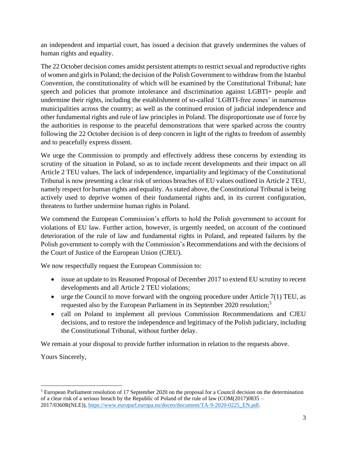an independent and impartial court, has issued a decision that gravely undermines the values of human rights and equality.

The 22 October decision comes amidst persistent attempts to restrict sexual and reproductive rights of women and girls in Poland; the decision of the Polish Government to withdraw from the Istanbul Convention, the constitutionality of which will be examined by the Constitutional Tribunal; hate speech and policies that promote intolerance and discrimination against LGBTI+ people and undermine their rights, including the establishment of so-called 'LGBTI-free zones' in numerous municipalities across the country; as well as the continued erosion of judicial independence and other fundamental rights and rule of law principles in Poland. The disproportionate use of force by the authorities in response to the peaceful demonstrations that were sparked across the country following the 22 October decision is of deep concern in light of the rights to freedom of assembly and to peacefully express dissent.

We urge the Commission to promptly and effectively address these concerns by extending its scrutiny of the situation in Poland, so as to include recent developments and their impact on all Article 2 TEU values. The lack of independence, impartiality and legitimacy of the Constitutional Tribunal is now presenting a clear risk of serious breaches of EU values outlined in Article 2 TEU, namely respect for human rights and equality. As stated above, the Constitutional Tribunal is being actively used to deprive women of their fundamental rights and, in its current configuration, threatens to further undermine human rights in Poland.

We commend the European Commission's efforts to hold the Polish government to account for violations of EU law. Further action, however, is urgently needed, on account of the continued deterioration of the rule of law and fundamental rights in Poland, and repeated failures by the Polish government to comply with the Commission's Recommendations and with the decisions of the Court of Justice of the European Union (CJEU).

We now respectfully request the European Commission to:

- issue an update to its Reasoned Proposal of December 2017 to extend EU scrutiny to recent developments and all Article 2 TEU violations;
- urge the Council to move forward with the ongoing procedure under Article  $7(1)$  TEU, as requested also by the European Parliament in its September 2020 resolution;<sup>5</sup>
- call on Poland to implement all previous Commission Recommendations and CJEU decisions, and to restore the independence and legitimacy of the Polish judiciary, including the Constitutional Tribunal, without further delay.

We remain at your disposal to provide further information in relation to the requests above.

Yours Sincerely,

<sup>5</sup> European Parliament resolution of 17 September 2020 on the proposal for a Council decision on the determination of a clear risk of a serious breach by the Republic of Poland of the rule of law (COM(2017)0835 – 2017/0360R(NLE)), [https://www.europarl.europa.eu/doceo/document/TA-9-2020-0225\\_EN.pdf.](https://www.europarl.europa.eu/doceo/document/TA-9-2020-0225_EN.pdf)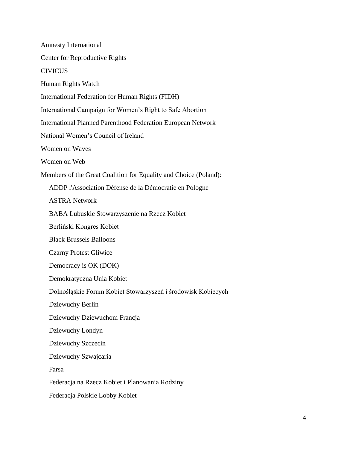Amnesty International Center for Reproductive Rights CIVICUS Human Rights Watch International Federation for Human Rights (FIDH) International Campaign for Women's Right to Safe Abortion International Planned Parenthood Federation European Network National Women's Council of Ireland Women on Waves Women on Web Members of the Great Coalition for Equality and Choice (Poland): ADDP l'Association Défense de la Démocratie en Pologne ASTRA Network BABA Lubuskie Stowarzyszenie na Rzecz Kobiet Berliński Kongres Kobiet Black Brussels Balloons Czarny Protest Gliwice Democracy is OK (DOK) Demokratyczna Unia Kobiet Dolnośląskie Forum Kobiet Stowarzyszeń i środowisk Kobiecych Dziewuchy Berlin Dziewuchy Dziewuchom Francja Dziewuchy Londyn Dziewuchy Szczecin Dziewuchy Szwajcaria Farsa Federacja na Rzecz Kobiet i Planowania Rodziny Federacja Polskie Lobby Kobiet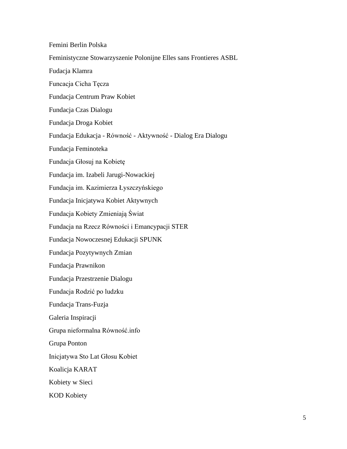Femini Berlin Polska Feministyczne Stowarzyszenie Polonijne Elles sans Frontieres ASBL Fudacja Klamra Funcacja Cicha Tęcza Fundacja Centrum Praw Kobiet Fundacja Czas Dialogu Fundacja Droga Kobiet Fundacja Edukacja - Równość - Aktywność - Dialog Era Dialogu Fundacja Feminoteka Fundacja Głosuj na Kobietę Fundacja im. Izabeli Jarugi-Nowackiej Fundacja im. Kazimierza Łyszczyńskiego Fundacja Inicjatywa Kobiet Aktywnych Fundacja Kobiety Zmieniają Świat Fundacja na Rzecz Równości i Emancypacji STER Fundacja Nowoczesnej Edukacji SPUNK Fundacja Pozytywnych Zmian Fundacja Prawnikon Fundacja Przestrzenie Dialogu Fundacja Rodzić po ludzku Fundacja Trans-Fuzja Galeria Inspiracji Grupa nieformalna Równość.info Grupa Ponton Inicjatywa Sto Lat Głosu Kobiet Koalicja KARAT Kobiety w Sieci KOD Kobiety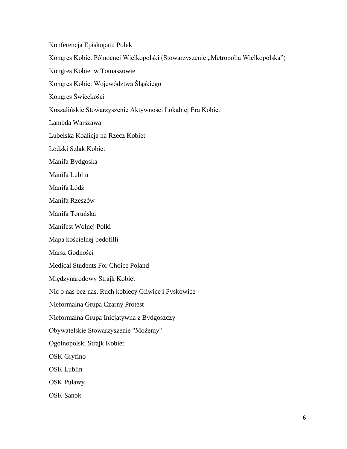Konferencja Episkopatu Polek

Kongres Kobiet Północnej Wielkopolski (Stowarzyszenie "Metropolia Wielkopolska")

Kongres Kobiet w Tomaszowie

Kongres Kobiet Województwa Śląskiego

Kongres Świeckości

Koszalińskie Stowarzyszenie Aktywności Lokalnej Era Kobiet

Lambda Warszawa

Lubelska Koalicja na Rzecz Kobiet

Łódzki Szlak Kobiet

Manifa Bydgoska

Manifa Lublin

Manifa Łódź

Manifa Rzeszów

Manifa Toruńska

Manifest Wolnej Polki

Mapa kościelnej pedofilli

Marsz Godności

Medical Students For Choice Poland

Międzynarodowy Strajk Kobiet

Nic o nas bez nas. Ruch kobiecy Gliwice i Pyskowice

Nieformalna Grupa Czarny Protest

Nieformalna Grupa Inicjatywna z Bydgoszczy

Obywatelskie Stowarzyszenie "Możemy"

Ogólnopolski Strajk Kobiet

OSK Gryfino

OSK Lublin

OSK Puławy

OSK Sanok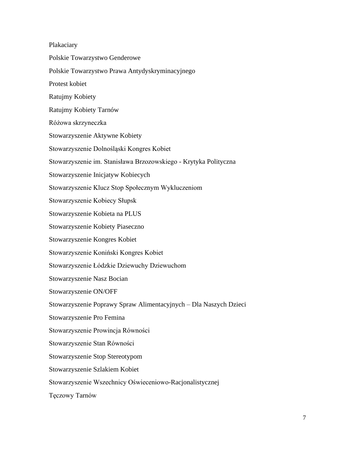Plakaciary Polskie Towarzystwo Genderowe Polskie Towarzystwo Prawa Antydyskryminacyjnego Protest kobiet Ratujmy Kobiety Ratujmy Kobiety Tarnów Różowa skrzyneczka Stowarzyszenie Aktywne Kobiety Stowarzyszenie Dolnośląski Kongres Kobiet Stowarzyszenie im. Stanisława Brzozowskiego - Krytyka Polityczna Stowarzyszenie Inicjatyw Kobiecych Stowarzyszenie Klucz Stop Społecznym Wykluczeniom Stowarzyszenie Kobiecy Słupsk Stowarzyszenie Kobieta na PLUS Stowarzyszenie Kobiety Piaseczno Stowarzyszenie Kongres Kobiet Stowarzyszenie Koniński Kongres Kobiet Stowarzyszenie Łódzkie Dziewuchy Dziewuchom Stowarzyszenie Nasz Bocian Stowarzyszenie ON/OFF Stowarzyszenie Poprawy Spraw Alimentacyjnych – Dla Naszych Dzieci Stowarzyszenie Pro Femina Stowarzyszenie Prowincja Równości Stowarzyszenie Stan Równości Stowarzyszenie Stop Stereotypom Stowarzyszenie Szlakiem Kobiet Stowarzyszenie Wszechnicy Oświeceniowo-Racjonalistycznej Tęczowy Tarnów